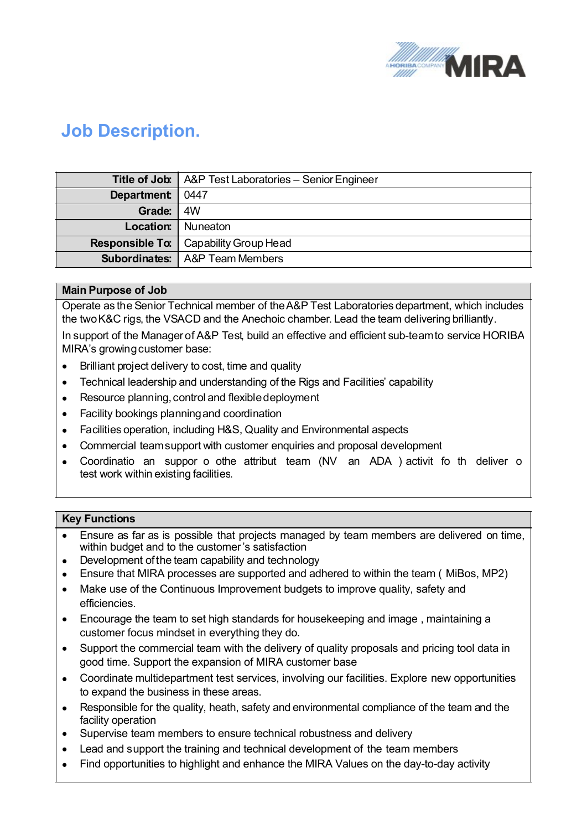

## **Job Description.**

|            | <b>Title of Job:</b>   A&P Test Laboratories - Senior Engineer |  |
|------------|----------------------------------------------------------------|--|
| Department | 0447                                                           |  |
| Grade:     | 4W                                                             |  |
| Location:  | l Nuneaton                                                     |  |
|            | <b>Responsible To:</b>   Capability Group Head                 |  |
|            | <b>Subordinates:</b>   A&P Team Members                        |  |

## **Main Purpose of Job**

Operate as the Senior Technical member of theA&P Test Laboratories department, which includes the two K&C rigs, the VSACD and the Anechoic chamber. Lead the team delivering brilliantly.

In support of the Managerof A&P Test, build an effective and efficient sub-teamto service HORIBA MIRA's growing customer base:

- · Brilliant project delivery to cost, time and quality
- · Technical leadership and understanding of the Rigs and Facilities' capability
- Resource planning, control and flexible deployment
- · Facility bookings planningand coordination
- · Facilities operation, including H&S, Quality and Environmental aspects
- · Commercial teamsupport with customer enquiries and proposal development
- Coordinatio an suppor o othe attribut team (NV an ADA) activit fo th deliver o test work within existing facilities. The contract of the contract of the contract of the contract of the contra

## **Key Functions**

- · Ensure as far as is possible that projects managed by team members are delivered on time, within budget and to the customer's satisfaction
- Development of the team capability and technology
- Ensure that MIRA processes are supported and adhered to within the team (MiBos, MP2)
- · Make use of the Continuous Improvement budgets to improve quality, safety and efficiencies.
- · Encourage the team to set high standards for housekeeping and image , maintaining a customer focus mindset in everything they do.
- · Support the commercial team with the delivery of quality proposals and pricing tool data in good time. Support the expansion of MIRA customer base
- · Coordinate multidepartment test services, involving our facilities. Explore new opportunities to expand the business in these areas.
- · Responsible for the quality, heath, safety and environmental compliance of the team and the facility operation
- Supervise team members to ensure technical robustness and delivery
- · Lead and support the training and technical development of the team members
- · Find opportunities to highlight and enhance the MIRA Values on the day-to-day activity